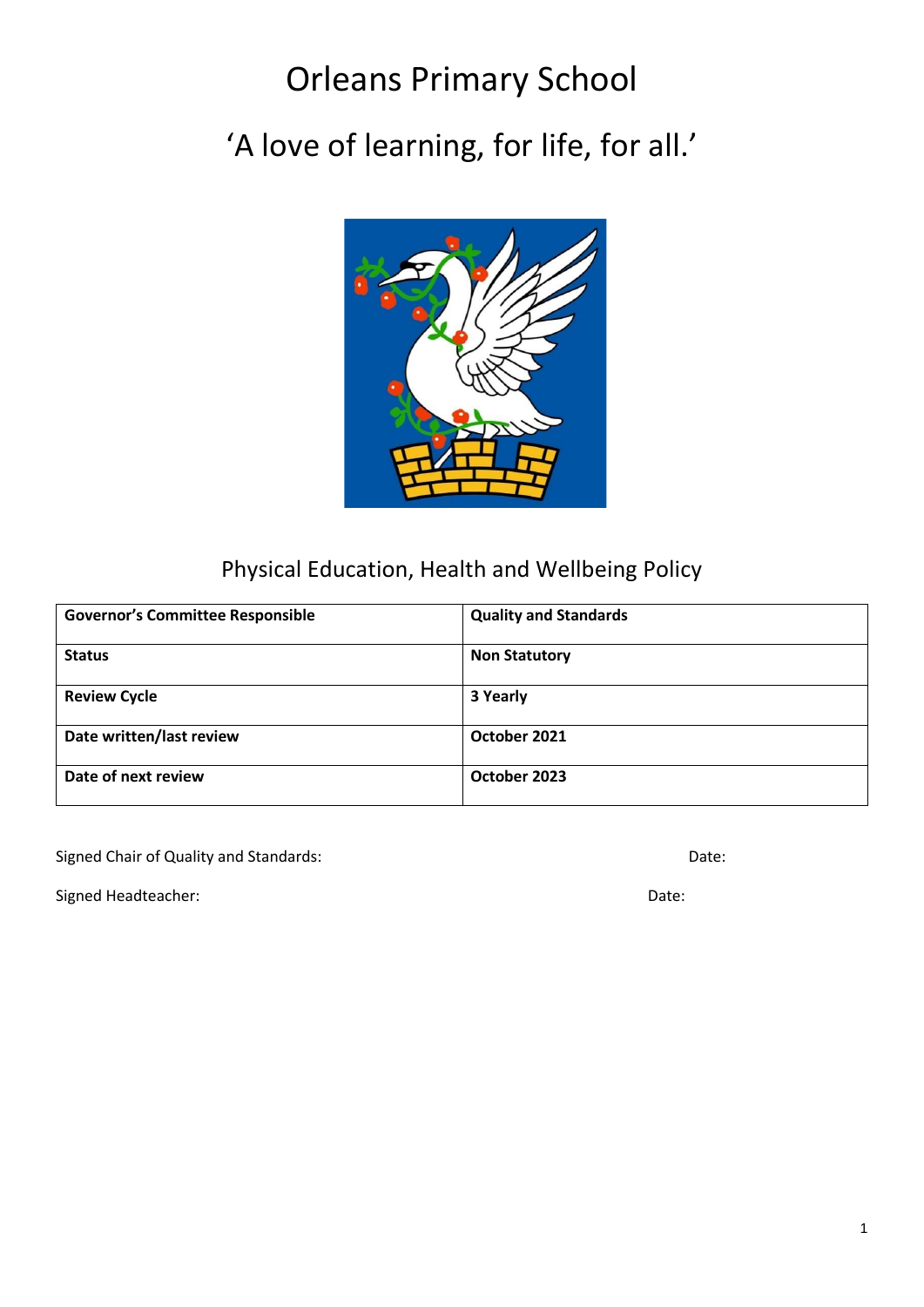# Orleans Primary School

# 'A love of learning, for life, for all.'



# Physical Education, Health and Wellbeing Policy

| <b>Governor's Committee Responsible</b> | <b>Quality and Standards</b> |
|-----------------------------------------|------------------------------|
| <b>Status</b>                           | <b>Non Statutory</b>         |
| <b>Review Cycle</b>                     | 3 Yearly                     |
| Date written/last review                | October 2021                 |
| Date of next review                     | October 2023                 |

Signed Chair of Quality and Standards: Date: Date: Date: Date: Date: Date: Date: Date: Date: Date: Date: Date: Date: Date: Date: Date: Date: Date: Date: Date: Date: Date: Date: Date: Date: Date: Date: Date: Date: Date: Dat

Signed Headteacher: Date: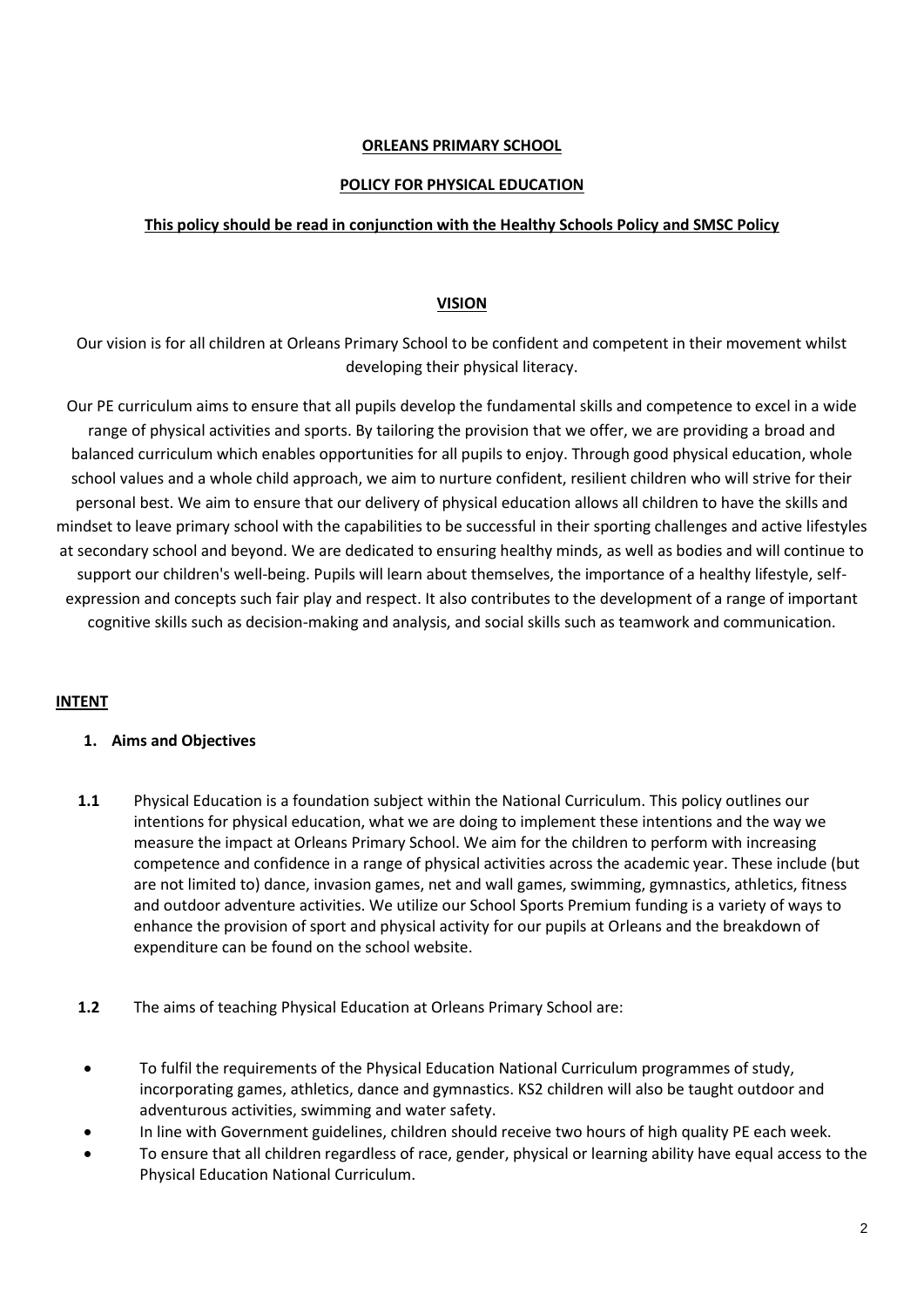#### **ORLEANS PRIMARY SCHOOL**

#### **POLICY FOR PHYSICAL EDUCATION**

#### **This policy should be read in conjunction with the Healthy Schools Policy and SMSC Policy**

#### **VISION**

Our vision is for all children at Orleans Primary School to be confident and competent in their movement whilst developing their physical literacy.

Our PE curriculum aims to ensure that all pupils develop the fundamental skills and competence to excel in a wide range of physical activities and sports. By tailoring the provision that we offer, we are providing a broad and balanced curriculum which enables opportunities for all pupils to enjoy. Through good physical education, whole school values and a whole child approach, we aim to nurture confident, resilient children who will strive for their personal best. We aim to ensure that our delivery of physical education allows all children to have the skills and mindset to leave primary school with the capabilities to be successful in their sporting challenges and active lifestyles at secondary school and beyond. We are dedicated to ensuring healthy minds, as well as bodies and will continue to support our children's well-being. Pupils will learn about themselves, the importance of a healthy lifestyle, selfexpression and concepts such fair play and respect. It also contributes to the development of a range of important cognitive skills such as decision-making and analysis, and social skills such as teamwork and communication.

#### **INTENT**

#### **1. Aims and Objectives**

- **1.1** Physical Education is a foundation subject within the National Curriculum. This policy outlines our intentions for physical education, what we are doing to implement these intentions and the way we measure the impact at Orleans Primary School. We aim for the children to perform with increasing competence and confidence in a range of physical activities across the academic year. These include (but are not limited to) dance, invasion games, net and wall games, swimming, gymnastics, athletics, fitness and outdoor adventure activities. We utilize our School Sports Premium funding is a variety of ways to enhance the provision of sport and physical activity for our pupils at Orleans and the breakdown of expenditure can be found on the school website.
- **1.2** The aims of teaching Physical Education at Orleans Primary School are:
- To fulfil the requirements of the Physical Education National Curriculum programmes of study, incorporating games, athletics, dance and gymnastics. KS2 children will also be taught outdoor and adventurous activities, swimming and water safety.
- In line with Government guidelines, children should receive two hours of high quality PE each week.
- To ensure that all children regardless of race, gender, physical or learning ability have equal access to the Physical Education National Curriculum.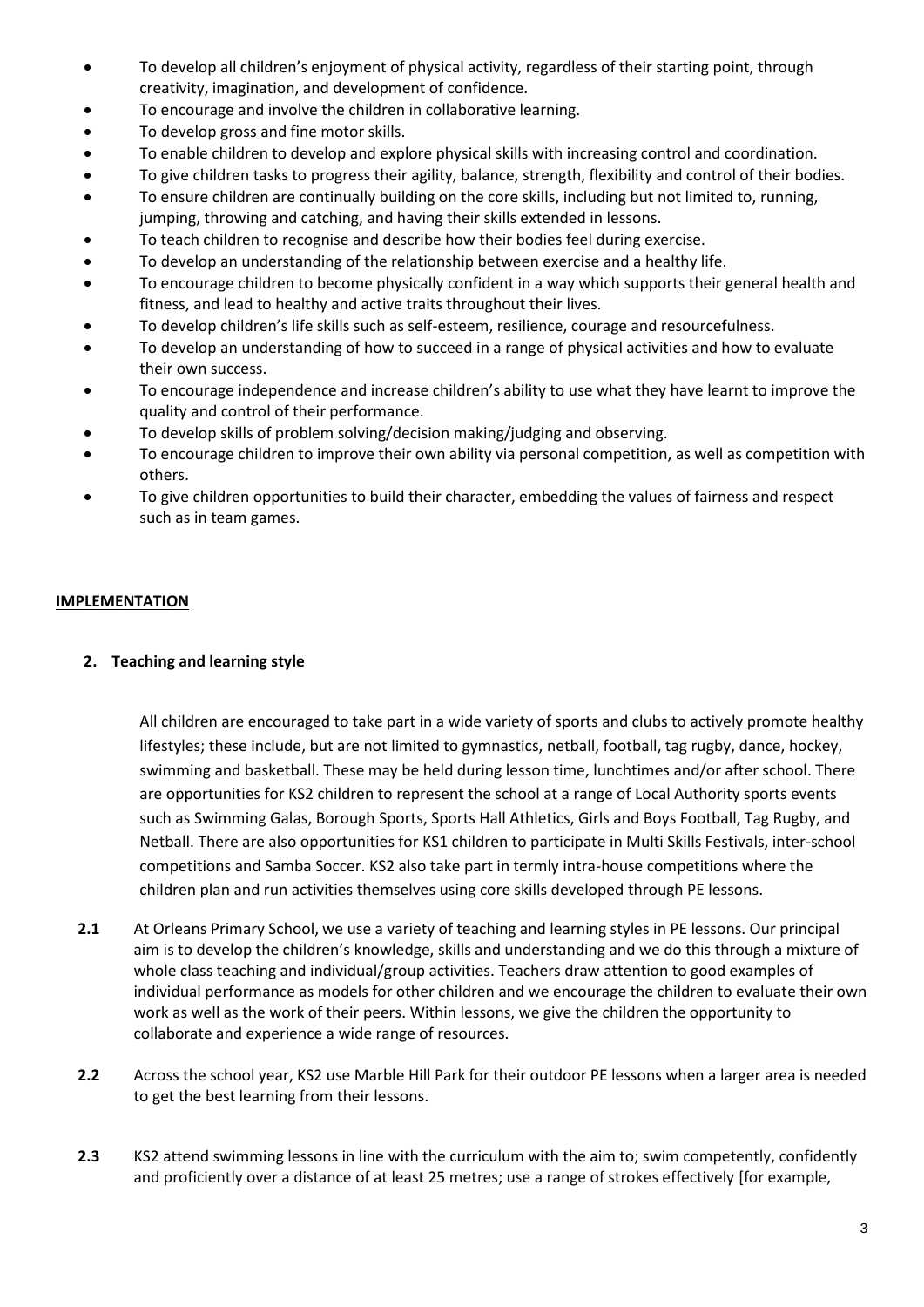- To develop all children's enjoyment of physical activity, regardless of their starting point, through creativity, imagination, and development of confidence.
- To encourage and involve the children in collaborative learning.
- To develop gross and fine motor skills.
- To enable children to develop and explore physical skills with increasing control and coordination.
- To give children tasks to progress their agility, balance, strength, flexibility and control of their bodies.
- To ensure children are continually building on the core skills, including but not limited to, running, jumping, throwing and catching, and having their skills extended in lessons.
- To teach children to recognise and describe how their bodies feel during exercise.
- To develop an understanding of the relationship between exercise and a healthy life.
- To encourage children to become physically confident in a way which supports their general health and fitness, and lead to healthy and active traits throughout their lives.
- To develop children's life skills such as self-esteem, resilience, courage and resourcefulness.
- To develop an understanding of how to succeed in a range of physical activities and how to evaluate their own success.
- To encourage independence and increase children's ability to use what they have learnt to improve the quality and control of their performance.
- To develop skills of problem solving/decision making/judging and observing.
- To encourage children to improve their own ability via personal competition, as well as competition with others.
- To give children opportunities to build their character, embedding the values of fairness and respect such as in team games.

# **IMPLEMENTATION**

# **2. Teaching and learning style**

All children are encouraged to take part in a wide variety of sports and clubs to actively promote healthy lifestyles; these include, but are not limited to gymnastics, netball, football, tag rugby, dance, hockey, swimming and basketball. These may be held during lesson time, lunchtimes and/or after school. There are opportunities for KS2 children to represent the school at a range of Local Authority sports events such as Swimming Galas, Borough Sports, Sports Hall Athletics, Girls and Boys Football, Tag Rugby, and Netball. There are also opportunities for KS1 children to participate in Multi Skills Festivals, inter-school competitions and Samba Soccer. KS2 also take part in termly intra-house competitions where the children plan and run activities themselves using core skills developed through PE lessons.

- **2.1** At Orleans Primary School, we use a variety of teaching and learning styles in PE lessons. Our principal aim is to develop the children's knowledge, skills and understanding and we do this through a mixture of whole class teaching and individual/group activities. Teachers draw attention to good examples of individual performance as models for other children and we encourage the children to evaluate their own work as well as the work of their peers. Within lessons, we give the children the opportunity to collaborate and experience a wide range of resources.
- **2.2** Across the school year, KS2 use Marble Hill Park for their outdoor PE lessons when a larger area is needed to get the best learning from their lessons.
- **2.3** KS2 attend swimming lessons in line with the curriculum with the aim to; swim competently, confidently and proficiently over a distance of at least 25 metres; use a range of strokes effectively [for example,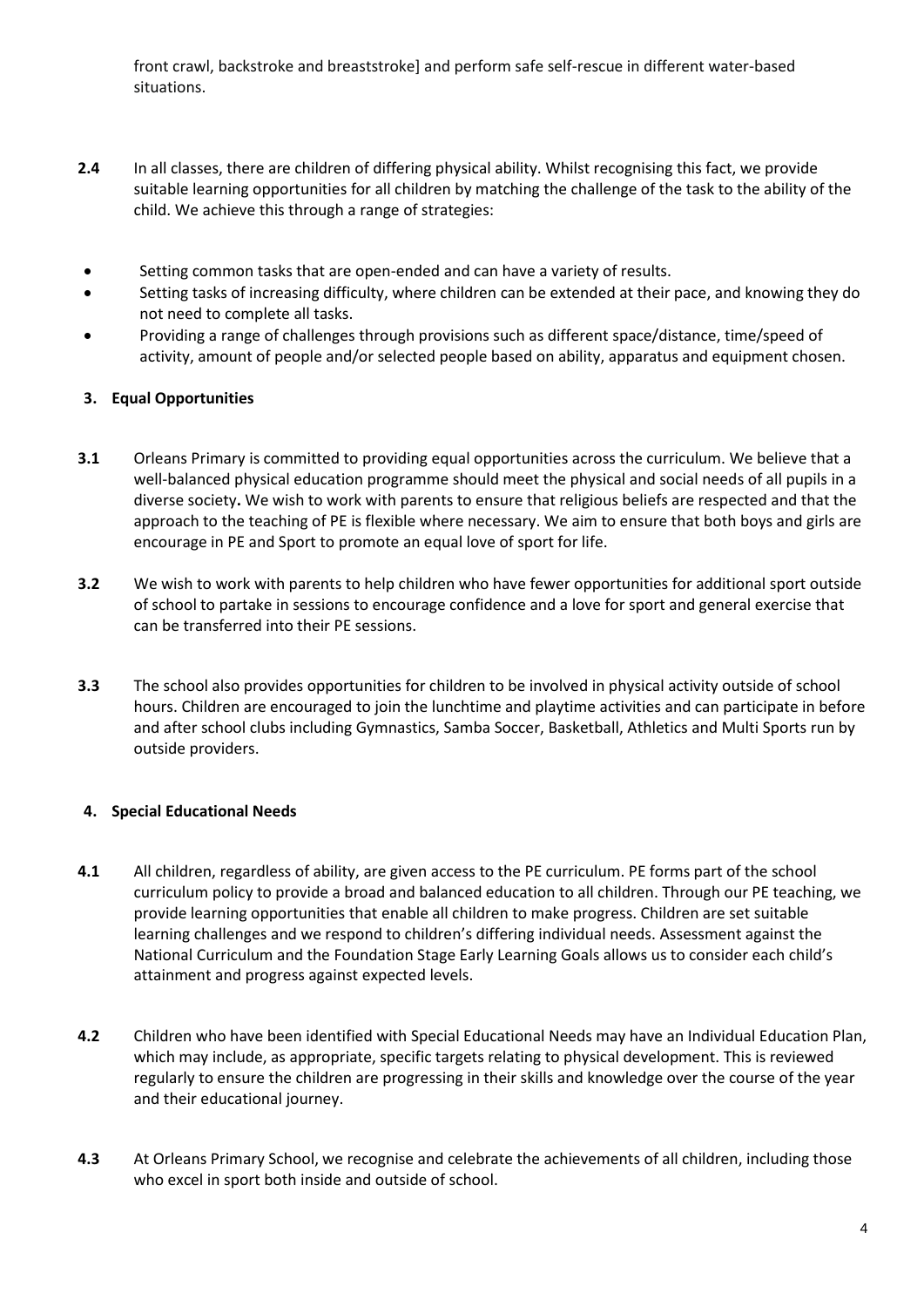front crawl, backstroke and breaststroke] and perform safe self-rescue in different water-based situations.

- **2.4** In all classes, there are children of differing physical ability. Whilst recognising this fact, we provide suitable learning opportunities for all children by matching the challenge of the task to the ability of the child. We achieve this through a range of strategies:
- Setting common tasks that are open-ended and can have a variety of results.
- Setting tasks of increasing difficulty, where children can be extended at their pace, and knowing they do not need to complete all tasks.
- Providing a range of challenges through provisions such as different space/distance, time/speed of activity, amount of people and/or selected people based on ability, apparatus and equipment chosen.

# **3. Equal Opportunities**

- **3.1** Orleans Primary is committed to providing equal opportunities across the curriculum. We believe that a well-balanced physical education programme should meet the physical and social needs of all pupils in a diverse society**.** We wish to work with parents to ensure that religious beliefs are respected and that the approach to the teaching of PE is flexible where necessary. We aim to ensure that both boys and girls are encourage in PE and Sport to promote an equal love of sport for life.
- **3.2** We wish to work with parents to help children who have fewer opportunities for additional sport outside of school to partake in sessions to encourage confidence and a love for sport and general exercise that can be transferred into their PE sessions.
- **3.3** The school also provides opportunities for children to be involved in physical activity outside of school hours. Children are encouraged to join the lunchtime and playtime activities and can participate in before and after school clubs including Gymnastics, Samba Soccer, Basketball, Athletics and Multi Sports run by outside providers.

# **4. Special Educational Needs**

- **4.1** All children, regardless of ability, are given access to the PE curriculum. PE forms part of the school curriculum policy to provide a broad and balanced education to all children. Through our PE teaching, we provide learning opportunities that enable all children to make progress. Children are set suitable learning challenges and we respond to children's differing individual needs. Assessment against the National Curriculum and the Foundation Stage Early Learning Goals allows us to consider each child's attainment and progress against expected levels.
- **4.2** Children who have been identified with Special Educational Needs may have an Individual Education Plan, which may include, as appropriate, specific targets relating to physical development. This is reviewed regularly to ensure the children are progressing in their skills and knowledge over the course of the year and their educational journey.
- **4.3** At Orleans Primary School, we recognise and celebrate the achievements of all children, including those who excel in sport both inside and outside of school.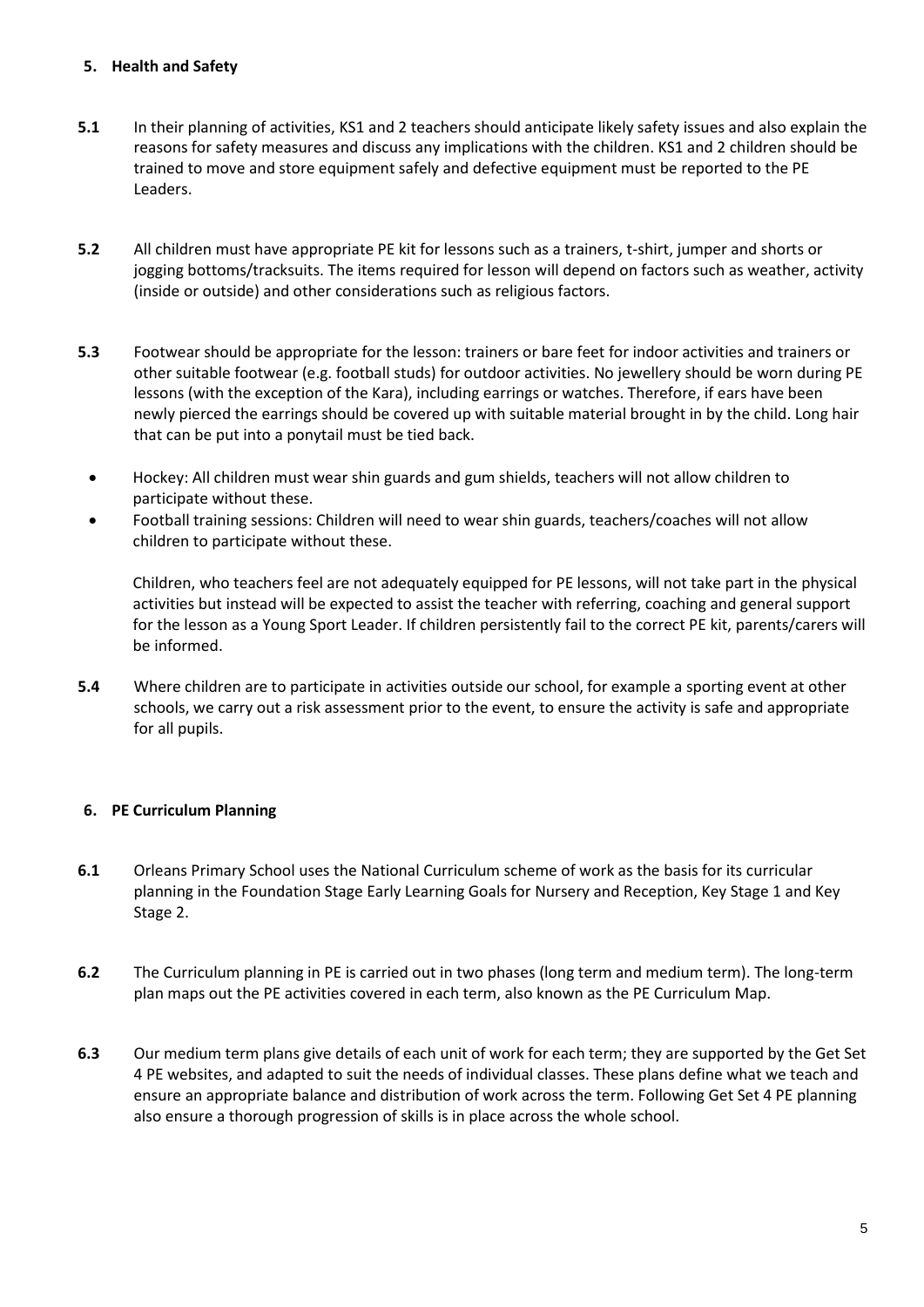#### **5. Health and Safety**

- **5.1** In their planning of activities, KS1 and 2 teachers should anticipate likely safety issues and also explain the reasons for safety measures and discuss any implications with the children. KS1 and 2 children should be trained to move and store equipment safely and defective equipment must be reported to the PE Leaders.
- **5.2** All children must have appropriate PE kit for lessons such as a trainers, t-shirt, jumper and shorts or jogging bottoms/tracksuits. The items required for lesson will depend on factors such as weather, activity (inside or outside) and other considerations such as religious factors.
- **5.3** Footwear should be appropriate for the lesson: trainers or bare feet for indoor activities and trainers or other suitable footwear (e.g. football studs) for outdoor activities. No jewellery should be worn during PE lessons (with the exception of the Kara), including earrings or watches. Therefore, if ears have been newly pierced the earrings should be covered up with suitable material brought in by the child. Long hair that can be put into a ponytail must be tied back.
- Hockey: All children must wear shin guards and gum shields, teachers will not allow children to participate without these.
- Football training sessions: Children will need to wear shin guards, teachers/coaches will not allow children to participate without these.

Children, who teachers feel are not adequately equipped for PE lessons, will not take part in the physical activities but instead will be expected to assist the teacher with referring, coaching and general support for the lesson as a Young Sport Leader. If children persistently fail to the correct PE kit, parents/carers will be informed.

**5.4** Where children are to participate in activities outside our school, for example a sporting event at other schools, we carry out a risk assessment prior to the event, to ensure the activity is safe and appropriate for all pupils.

# **6. PE Curriculum Planning**

- **6.1** Orleans Primary School uses the National Curriculum scheme of work as the basis for its curricular planning in the Foundation Stage Early Learning Goals for Nursery and Reception, Key Stage 1 and Key Stage 2.
- **6.2** The Curriculum planning in PE is carried out in two phases (long term and medium term). The long-term plan maps out the PE activities covered in each term, also known as the PE Curriculum Map.
- **6.3** Our medium term plans give details of each unit of work for each term; they are supported by the Get Set 4 PE websites, and adapted to suit the needs of individual classes. These plans define what we teach and ensure an appropriate balance and distribution of work across the term. Following Get Set 4 PE planning also ensure a thorough progression of skills is in place across the whole school.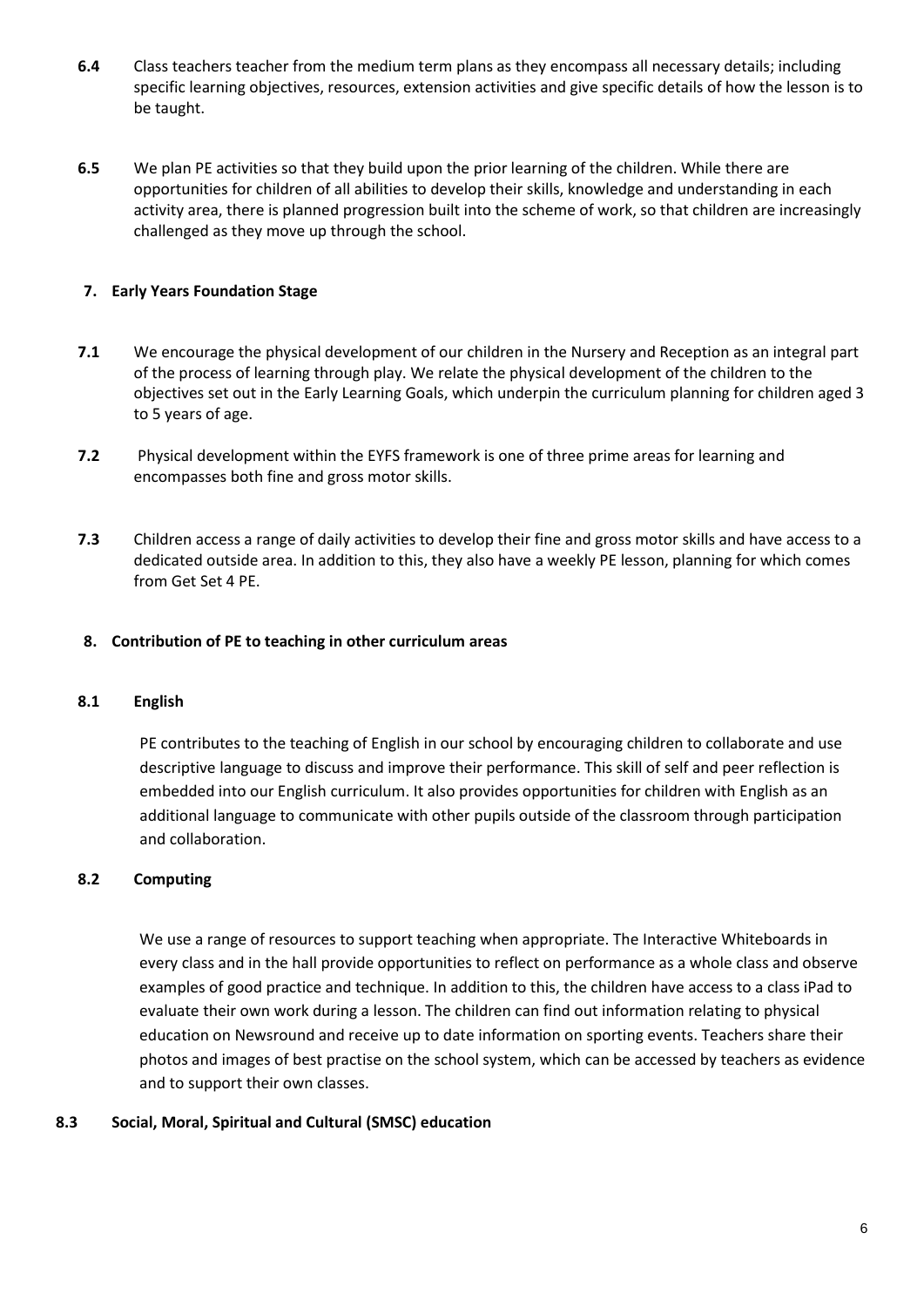- **6.4** Class teachers teacher from the medium term plans as they encompass all necessary details; including specific learning objectives, resources, extension activities and give specific details of how the lesson is to be taught.
- **6.5** We plan PE activities so that they build upon the prior learning of the children. While there are opportunities for children of all abilities to develop their skills, knowledge and understanding in each activity area, there is planned progression built into the scheme of work, so that children are increasingly challenged as they move up through the school.

# **7. Early Years Foundation Stage**

- **7.1** We encourage the physical development of our children in the Nursery and Reception as an integral part of the process of learning through play. We relate the physical development of the children to the objectives set out in the Early Learning Goals, which underpin the curriculum planning for children aged 3 to 5 years of age.
- **7.2** Physical development within the EYFS framework is one of three prime areas for learning and encompasses both fine and gross motor skills.
- **7.3** Children access a range of daily activities to develop their fine and gross motor skills and have access to a dedicated outside area. In addition to this, they also have a weekly PE lesson, planning for which comes from Get Set 4 PE.

#### **8. Contribution of PE to teaching in other curriculum areas**

#### **8.1 English**

PE contributes to the teaching of English in our school by encouraging children to collaborate and use descriptive language to discuss and improve their performance. This skill of self and peer reflection is embedded into our English curriculum. It also provides opportunities for children with English as an additional language to communicate with other pupils outside of the classroom through participation and collaboration.

#### **8.2 Computing**

We use a range of resources to support teaching when appropriate. The Interactive Whiteboards in every class and in the hall provide opportunities to reflect on performance as a whole class and observe examples of good practice and technique. In addition to this, the children have access to a class iPad to evaluate their own work during a lesson. The children can find out information relating to physical education on Newsround and receive up to date information on sporting events. Teachers share their photos and images of best practise on the school system, which can be accessed by teachers as evidence and to support their own classes.

#### **8.3 Social, Moral, Spiritual and Cultural (SMSC) education**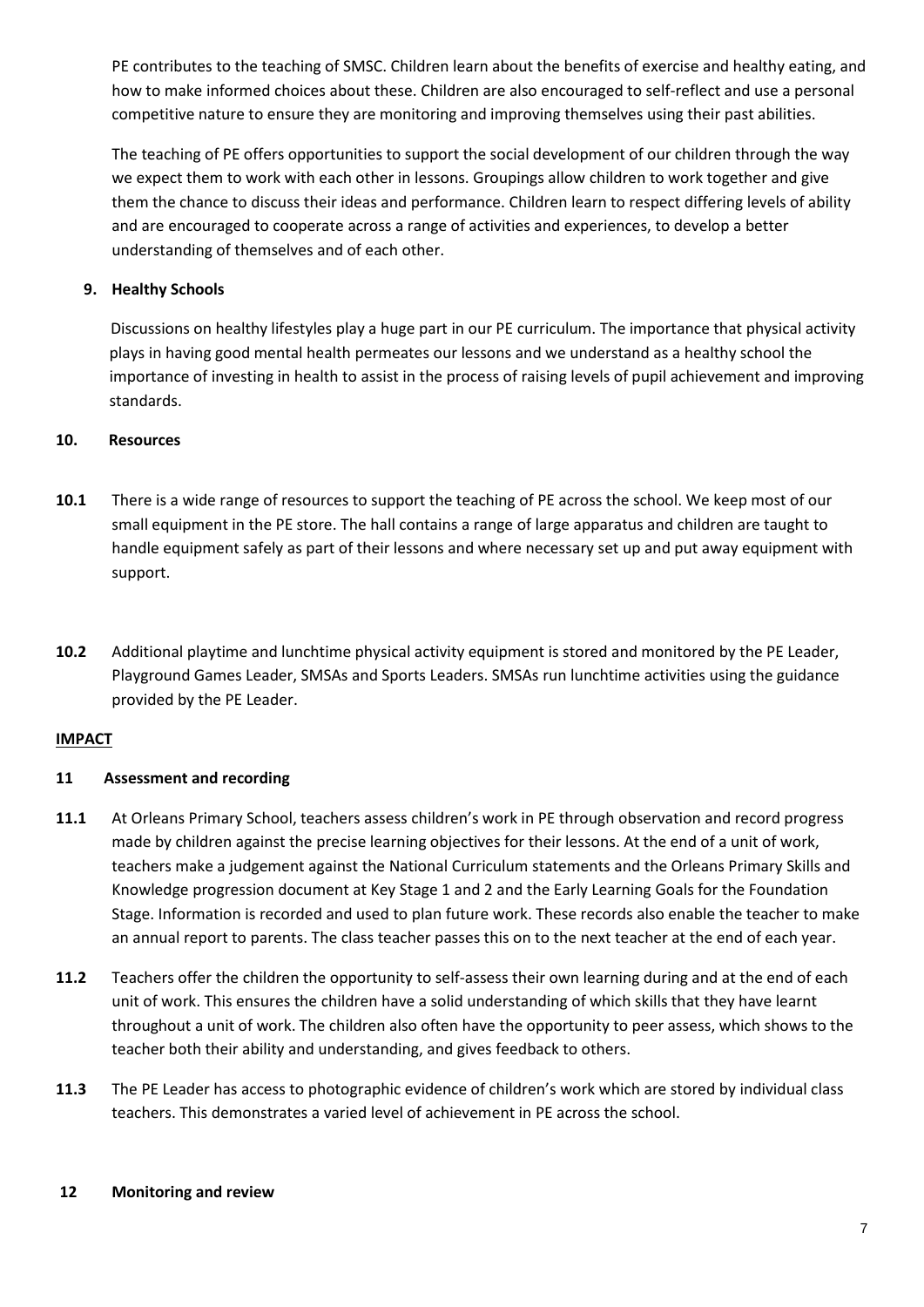PE contributes to the teaching of SMSC. Children learn about the benefits of exercise and healthy eating, and how to make informed choices about these. Children are also encouraged to self-reflect and use a personal competitive nature to ensure they are monitoring and improving themselves using their past abilities.

The teaching of PE offers opportunities to support the social development of our children through the way we expect them to work with each other in lessons. Groupings allow children to work together and give them the chance to discuss their ideas and performance. Children learn to respect differing levels of ability and are encouraged to cooperate across a range of activities and experiences, to develop a better understanding of themselves and of each other.

# **9. Healthy Schools**

Discussions on healthy lifestyles play a huge part in our PE curriculum. The importance that physical activity plays in having good mental health permeates our lessons and we understand as a healthy school the importance of investing in health to assist in the process of raising levels of pupil achievement and improving standards.

# **10. Resources**

- **10.1** There is a wide range of resources to support the teaching of PE across the school. We keep most of our small equipment in the PE store. The hall contains a range of large apparatus and children are taught to handle equipment safely as part of their lessons and where necessary set up and put away equipment with support.
- **10.2** Additional playtime and lunchtime physical activity equipment is stored and monitored by the PE Leader, Playground Games Leader, SMSAs and Sports Leaders. SMSAs run lunchtime activities using the guidance provided by the PE Leader.

# **IMPACT**

# **11 Assessment and recording**

- **11.1** At Orleans Primary School, teachers assess children's work in PE through observation and record progress made by children against the precise learning objectives for their lessons. At the end of a unit of work, teachers make a judgement against the National Curriculum statements and the Orleans Primary Skills and Knowledge progression document at Key Stage 1 and 2 and the Early Learning Goals for the Foundation Stage. Information is recorded and used to plan future work. These records also enable the teacher to make an annual report to parents. The class teacher passes this on to the next teacher at the end of each year.
- **11.2** Teachers offer the children the opportunity to self-assess their own learning during and at the end of each unit of work. This ensures the children have a solid understanding of which skills that they have learnt throughout a unit of work. The children also often have the opportunity to peer assess, which shows to the teacher both their ability and understanding, and gives feedback to others.
- **11.3** The PE Leader has access to photographic evidence of children's work which are stored by individual class teachers. This demonstrates a varied level of achievement in PE across the school.